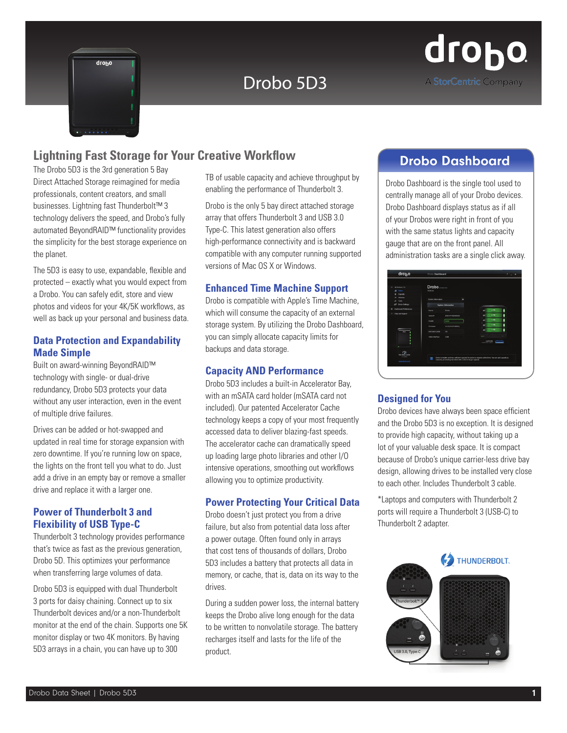

# Drobo 5D3



## **Lightning Fast Storage for Your Creative Workflow Communisty Consuming Drobo Dashboard**

The Drobo 5D3 is the 3rd generation 5 Bay Direct Attached Storage reimagined for media professionals, content creators, and small businesses. Lightning fast Thunderbolt™ 3 technology delivers the speed, and Drobo's fully automated BeyondRAID™ functionality provides the simplicity for the best storage experience on the planet.

The 5D3 is easy to use, expandable, flexible and protected – exactly what you would expect from a Drobo. You can safely edit, store and view photos and videos for your 4K/5K workflows, as well as back up your personal and business data.

#### **Data Protection and Expandability Made Simple**

Built on award-winning BeyondRAID™ technology with single- or dual-drive redundancy, Drobo 5D3 protects your data without any user interaction, even in the event of multiple drive failures.

Drives can be added or hot-swapped and updated in real time for storage expansion with zero downtime. If you're running low on space, the lights on the front tell you what to do. Just add a drive in an empty bay or remove a smaller drive and replace it with a larger one.

### **Power of Thunderbolt 3 and Flexibility of USB Type-C**

Thunderbolt 3 technology provides performance that's twice as fast as the previous generation, Drobo 5D. This optimizes your performance when transferring large volumes of data.

Drobo 5D3 is equipped with dual Thunderbolt 3 ports for daisy chaining. Connect up to six Thunderbolt devices and/or a non-Thunderbolt monitor at the end of the chain. Supports one 5K monitor display or two 4K monitors. By having 5D3 arrays in a chain, you can have up to 300

TB of usable capacity and achieve throughput by enabling the performance of Thunderbolt 3.

Drobo is the only 5 bay direct attached storage array that offers Thunderbolt 3 and USB 3.0 Type-C. This latest generation also offers high-performance connectivity and is backward compatible with any computer running supported versions of Mac OS X or Windows.

#### **Enhanced Time Machine Support**

Drobo is compatible with Apple's Time Machine, which will consume the capacity of an external storage system. By utilizing the Drobo Dashboard, you can simply allocate capacity limits for backups and data storage.

#### **Capacity AND Performance**

Drobo 5D3 includes a built-in Accelerator Bay, with an mSATA card holder (mSATA card not included). Our patented Accelerator Cache technology keeps a copy of your most frequently accessed data to deliver blazing-fast speeds. The accelerator cache can dramatically speed up loading large photo libraries and other I/O intensive operations, smoothing out workflows allowing you to optimize productivity.

#### **Power Protecting Your Critical Data**

Drobo doesn't just protect you from a drive failure, but also from potential data loss after a power outage. Often found only in arrays that cost tens of thousands of dollars, Drobo 5D3 includes a battery that protects all data in memory, or cache, that is, data on its way to the drives.

During a sudden power loss, the internal battery keeps the Drobo alive long enough for the data to be written to nonvolatile storage. The battery recharges itself and lasts for the life of the product.

Drobo Dashboard is the single tool used to centrally manage all of your Drobo devices. Drobo Dashboard displays status as if all of your Drobos were right in front of you with the same status lights and capacity gauge that are on the front panel. All administration tasks are a single click away.

| 11 All Drobes (1)                              | <b>Drobo</b> (Dento 50)       |                                                                                                           |  |               |      |                |  |
|------------------------------------------------|-------------------------------|-----------------------------------------------------------------------------------------------------------|--|---------------|------|----------------|--|
| all dealer                                     | Status                        |                                                                                                           |  |               |      |                |  |
| Capachy<br>$\blacksquare$                      |                               |                                                                                                           |  |               |      |                |  |
| Welchen<br>$\sim$<br><b>Stats</b><br>×         | <b>Solem Information</b><br>п |                                                                                                           |  |               |      |                |  |
| 6 <sup>0</sup> Drobo Settings                  | <b>System Information</b>     |                                                                                                           |  |               |      |                |  |
| <b>Cashboard Preferences</b><br>$\bullet$      | <b>Name</b>                   | Deshn                                                                                                     |  | e             | 4TB  | ۱              |  |
| Help and Support<br>٠                          | Serial #                      | DRA171702600050                                                                                           |  | е             | 6 TB | ۱              |  |
|                                                | <b>Health</b>                 | <b>Good</b>                                                                                               |  | ×             | 3 TB | ۱              |  |
| <b>PAGE</b>                                    | Firmware                      | 4.0.0114.15.909043                                                                                        |  | e             | 3TB  | ı              |  |
|                                                | HoliDulla Cache               | $\sim$                                                                                                    |  | ÷             | 3TP  |                |  |
|                                                | Active Interface              | USB                                                                                                       |  |               |      | <b>Service</b> |  |
|                                                |                               |                                                                                                           |  | <b>MAIASD</b> |      |                |  |
| ٠                                              |                               |                                                                                                           |  |               |      |                |  |
| $\epsilon$<br><b>Hot Data Cache</b><br>IS DOM: |                               | Drobe is healthy and has sufficient capacity. No action is required at this time. You can add capacity by |  |               |      |                |  |
| www.drobo.com                                  | т                             | restacing an existing hand clove with a drive of larger capacity.                                         |  |               |      |                |  |

#### **Designed for You**

Drobo devices have always been space efficient and the Drobo 5D3 is no exception. It is designed to provide high capacity, without taking up a lot of your valuable desk space. It is compact because of Drobo's unique carrier-less drive bay design, allowing drives to be installed very close to each other. Includes Thunderbolt 3 cable.

\*Laptops and computers with Thunderbolt 2 ports will require a Thunderbolt 3 (USB-C) to Thunderbolt 2 adapter.